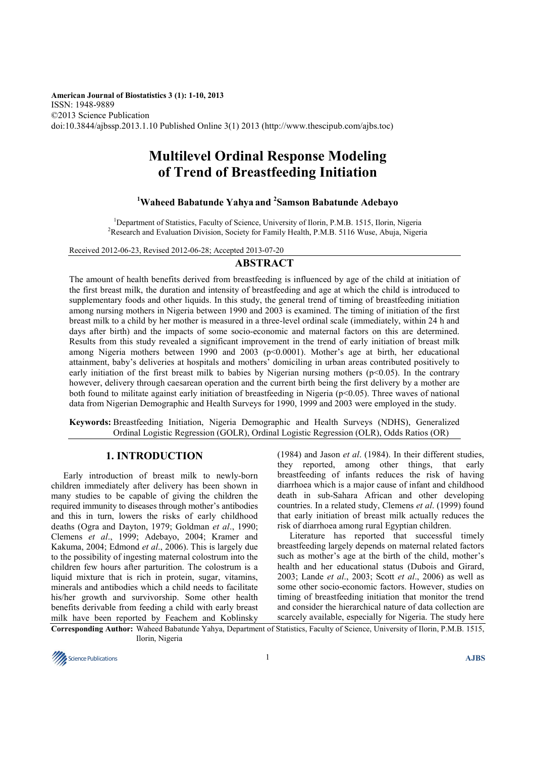**American Journal of Biostatistics 3 (1): 1-10, 2013** ISSN: 1948-9889 ©2013 Science Publication doi:10.3844/ajbssp.2013.1.10 Published Online 3(1) 2013 (http://www.thescipub.com/ajbs.toc)

# **Multilevel Ordinal Response Modeling of Trend of Breastfeeding Initiation**

# **<sup>1</sup>Waheed Babatunde Yahya and <sup>2</sup> Samson Babatunde Adebayo**

<sup>1</sup>Department of Statistics, Faculty of Science, University of Ilorin, P.M.B. 1515, Ilorin, Nigeria <sup>2</sup>Research and Evaluation Division, Society for Family Health, P.M.B. 5116 Wuse, Abuja, Nigeria

Received 2012-06-23, Revised 2012-06-28; Accepted 2013-07-20

# **ABSTRACT**

The amount of health benefits derived from breastfeeding is influenced by age of the child at initiation of the first breast milk, the duration and intensity of breastfeeding and age at which the child is introduced to supplementary foods and other liquids. In this study, the general trend of timing of breastfeeding initiation among nursing mothers in Nigeria between 1990 and 2003 is examined. The timing of initiation of the first breast milk to a child by her mother is measured in a three-level ordinal scale (immediately, within 24 h and days after birth) and the impacts of some socio-economic and maternal factors on this are determined. Results from this study revealed a significant improvement in the trend of early initiation of breast milk among Nigeria mothers between 1990 and 2003 ( $p$ <0.0001). Mother's age at birth, her educational attainment, baby's deliveries at hospitals and mothers' domiciling in urban areas contributed positively to early initiation of the first breast milk to babies by Nigerian nursing mothers ( $p<0.05$ ). In the contrary however, delivery through caesarean operation and the current birth being the first delivery by a mother are both found to militate against early initiation of breastfeeding in Nigeria (p<0.05). Three waves of national data from Nigerian Demographic and Health Surveys for 1990, 1999 and 2003 were employed in the study.

**Keywords:** Breastfeeding Initiation, Nigeria Demographic and Health Surveys (NDHS), Generalized Ordinal Logistic Regression (GOLR), Ordinal Logistic Regression (OLR), Odds Ratios (OR)

# **1. INTRODUCTION**

Early introduction of breast milk to newly-born children immediately after delivery has been shown in many studies to be capable of giving the children the required immunity to diseases through mother's antibodies and this in turn, lowers the risks of early childhood deaths (Ogra and Dayton, 1979; Goldman *et al*., 1990; Clemens *et al*., 1999; Adebayo, 2004; Kramer and Kakuma, 2004; Edmond *et al*., 2006). This is largely due to the possibility of ingesting maternal colostrum into the children few hours after parturition. The colostrum is a liquid mixture that is rich in protein, sugar, vitamins, minerals and antibodies which a child needs to facilitate his/her growth and survivorship. Some other health benefits derivable from feeding a child with early breast milk have been reported by Feachem and Koblinsky

(1984) and Jason *et al*. (1984). In their different studies, they reported, among other things, that early breastfeeding of infants reduces the risk of having diarrhoea which is a major cause of infant and childhood death in sub-Sahara African and other developing countries. In a related study, Clemens *et al*. (1999) found that early initiation of breast milk actually reduces the risk of diarrhoea among rural Egyptian children.

Literature has reported that successful timely breastfeeding largely depends on maternal related factors such as mother's age at the birth of the child, mother's health and her educational status (Dubois and Girard, 2003; Lande *et al*., 2003; Scott *et al*., 2006) as well as some other socio-economic factors. However, studies on timing of breastfeeding initiation that monitor the trend and consider the hierarchical nature of data collection are scarcely available, especially for Nigeria. The study here

**Corresponding Author:** Waheed Babatunde Yahya, Department of Statistics, Faculty of Science, University of Ilorin, P.M.B. 1515, Ilorin, Nigeria

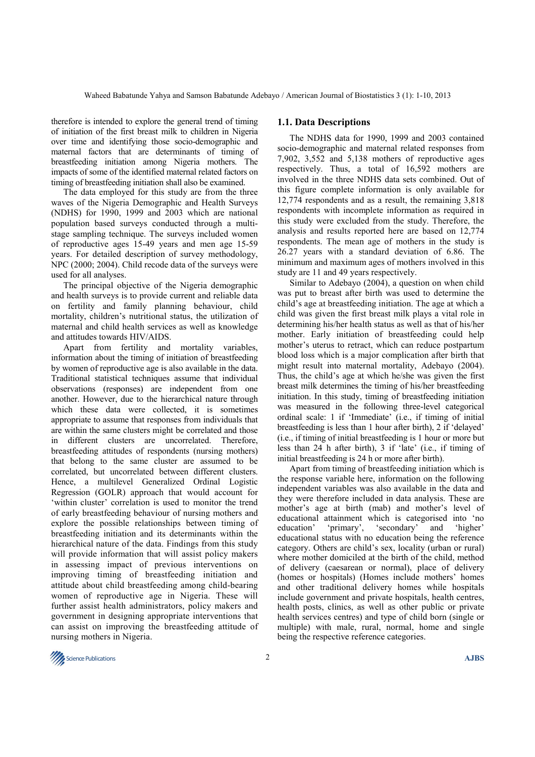therefore is intended to explore the general trend of timing of initiation of the first breast milk to children in Nigeria over time and identifying those socio-demographic and maternal factors that are determinants of timing of breastfeeding initiation among Nigeria mothers. The impacts of some of the identified maternal related factors on timing of breastfeeding initiation shall also be examined.

The data employed for this study are from the three waves of the Nigeria Demographic and Health Surveys (NDHS) for 1990, 1999 and 2003 which are national population based surveys conducted through a multistage sampling technique. The surveys included women of reproductive ages 15-49 years and men age 15-59 years. For detailed description of survey methodology, NPC (2000; 2004). Child recode data of the surveys were used for all analyses.

The principal objective of the Nigeria demographic and health surveys is to provide current and reliable data on fertility and family planning behaviour, child mortality, children's nutritional status, the utilization of maternal and child health services as well as knowledge and attitudes towards HIV/AIDS.

Apart from fertility and mortality variables, information about the timing of initiation of breastfeeding by women of reproductive age is also available in the data. Traditional statistical techniques assume that individual observations (responses) are independent from one another. However, due to the hierarchical nature through which these data were collected, it is sometimes appropriate to assume that responses from individuals that are within the same clusters might be correlated and those in different clusters are uncorrelated. Therefore, breastfeeding attitudes of respondents (nursing mothers) that belong to the same cluster are assumed to be correlated, but uncorrelated between different clusters. Hence, a multilevel Generalized Ordinal Logistic Regression (GOLR) approach that would account for 'within cluster' correlation is used to monitor the trend of early breastfeeding behaviour of nursing mothers and explore the possible relationships between timing of breastfeeding initiation and its determinants within the hierarchical nature of the data. Findings from this study will provide information that will assist policy makers in assessing impact of previous interventions on improving timing of breastfeeding initiation and attitude about child breastfeeding among child-bearing women of reproductive age in Nigeria. These will further assist health administrators, policy makers and government in designing appropriate interventions that can assist on improving the breastfeeding attitude of nursing mothers in Nigeria.

# **1.1. Data Descriptions**

The NDHS data for 1990, 1999 and 2003 contained socio-demographic and maternal related responses from 7,902, 3,552 and 5,138 mothers of reproductive ages respectively. Thus, a total of 16,592 mothers are involved in the three NDHS data sets combined. Out of this figure complete information is only available for 12,774 respondents and as a result, the remaining 3,818 respondents with incomplete information as required in this study were excluded from the study. Therefore, the analysis and results reported here are based on 12,774 respondents. The mean age of mothers in the study is 26.27 years with a standard deviation of 6.86. The minimum and maximum ages of mothers involved in this study are 11 and 49 years respectively.

Similar to Adebayo (2004), a question on when child was put to breast after birth was used to determine the child's age at breastfeeding initiation. The age at which a child was given the first breast milk plays a vital role in determining his/her health status as well as that of his/her mother. Early initiation of breastfeeding could help mother's uterus to retract, which can reduce postpartum blood loss which is a major complication after birth that might result into maternal mortality, Adebayo (2004). Thus, the child's age at which he/she was given the first breast milk determines the timing of his/her breastfeeding initiation. In this study, timing of breastfeeding initiation was measured in the following three-level categorical ordinal scale: 1 if 'Immediate' (i.e., if timing of initial breastfeeding is less than 1 hour after birth), 2 if 'delayed' (i.e., if timing of initial breastfeeding is 1 hour or more but less than 24 h after birth), 3 if 'late' (i.e., if timing of initial breastfeeding is 24 h or more after birth).

Apart from timing of breastfeeding initiation which is the response variable here, information on the following independent variables was also available in the data and they were therefore included in data analysis. These are mother's age at birth (mab) and mother's level of educational attainment which is categorised into 'no education' 'primary', 'secondary' and 'higher' educational status with no education being the reference category. Others are child's sex, locality (urban or rural) where mother domiciled at the birth of the child, method of delivery (caesarean or normal), place of delivery (homes or hospitals) (Homes include mothers' homes and other traditional delivery homes while hospitals include government and private hospitals, health centres, health posts, clinics, as well as other public or private health services centres) and type of child born (single or multiple) with male, rural, normal, home and single being the respective reference categories.

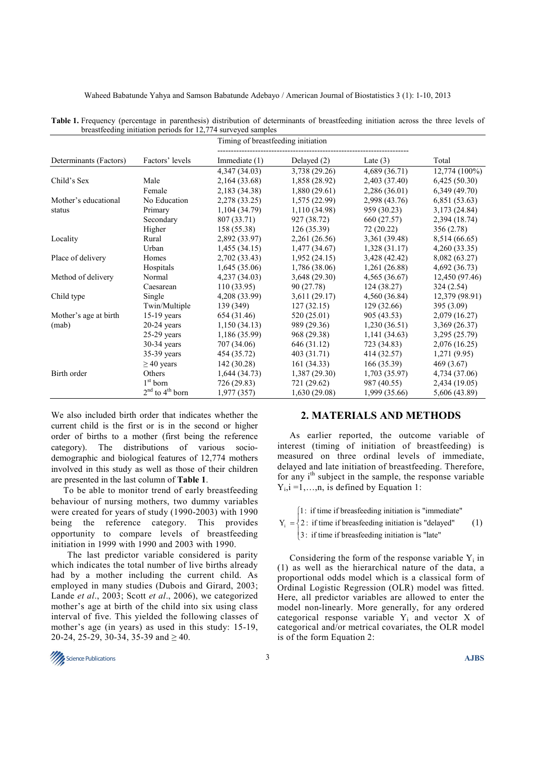|                        |                     | $\alpha$ or castic cump immation periods for $12$ , $\beta$ + survey cu samples<br>Timing of breastfeeding initiation |               |               |                 |
|------------------------|---------------------|-----------------------------------------------------------------------------------------------------------------------|---------------|---------------|-----------------|
| Determinants (Factors) | Factors' levels     | Immediate $(1)$                                                                                                       | Delayed $(2)$ | Late $(3)$    | Total           |
|                        |                     | 4,347 (34.03)                                                                                                         | 3,738 (29.26) | 4,689 (36.71) | $12,774(100\%)$ |
| Child's Sex            | Male                | 2,164 (33.68)                                                                                                         | 1,858 (28.92) | 2,403 (37.40) | 6,425(50.30)    |
|                        | Female              | 2,183 (34.38)                                                                                                         | 1,880(29.61)  | 2,286 (36.01) | 6,349 (49.70)   |
| Mother's educational   | No Education        | 2,278 (33.25)                                                                                                         | 1,575(22.99)  | 2,998 (43.76) | 6,851(53.63)    |
| status                 | Primary             | 1,104 (34.79)                                                                                                         | 1,110(34.98)  | 959 (30.23)   | 3,173 (24.84)   |
|                        | Secondary           | 807 (33.71)                                                                                                           | 927 (38.72)   | 660 (27.57)   | 2,394 (18.74)   |
|                        | Higher              | 158 (55.38)                                                                                                           | 126(35.39)    | 72(20.22)     | 356(2.78)       |
| Locality               | Rural               | 2,892 (33.97)                                                                                                         | 2,261 (26.56) | 3,361 (39.48) | 8,514 (66.65)   |
|                        | Urban               | 1,455(34.15)                                                                                                          | 1,477(34.67)  | 1,328(31.17)  | 4,260 (33.35)   |
| Place of delivery      | Homes               | 2,702 (33.43)                                                                                                         | 1,952(24.15)  | 3,428 (42.42) | 8,082 (63.27)   |
|                        | Hospitals           | 1,645(35.06)                                                                                                          | 1,786 (38.06) | 1,261(26.88)  | 4,692 (36.73)   |
| Method of delivery     | Normal              | 4,237 (34.03)                                                                                                         | 3,648(29.30)  | 4,565(36.67)  | 12,450 (97.46)  |
|                        | Caesarean           | 110(33.95)                                                                                                            | 90 (27.78)    | 124(38.27)    | 324(2.54)       |
| Child type             | Single              | 4,208 (33.99)                                                                                                         | 3,611(29.17)  | 4,560 (36.84) | 12,379 (98.91)  |
|                        | Twin/Multiple       | 139 (349)                                                                                                             | 127(32.15)    | 129(32.66)    | 395(3.09)       |
| Mother's age at birth  | $15-19$ years       | 654 (31.46)                                                                                                           | 520 (25.01)   | 905 (43.53)   | 2,079 (16.27)   |
| (mab)                  | $20-24$ years       | 1,150(34.13)                                                                                                          | 989 (29.36)   | 1,230(36.51)  | 3,369 (26.37)   |
|                        | $25-29$ years       | 1,186 (35.99)                                                                                                         | 968 (29.38)   | 1,141(34.63)  | 3,295 (25.79)   |
|                        | $30-34$ years       | 707 (34.06)                                                                                                           | 646 (31.12)   | 723 (34.83)   | 2,076 (16.25)   |
|                        | $35-39$ years       | 454 (35.72)                                                                                                           | 403 (31.71)   | 414 (32.57)   | 1,271(9.95)     |
|                        | $\geq$ 40 years     | 142 (30.28)                                                                                                           | 161(34.33)    | 166(35.39)    | 469(3.67)       |
| Birth order            | Others              | 1,644(34.73)                                                                                                          | 1,387(29.30)  | 1,703(35.97)  | 4,734 (37.06)   |
|                        | $1st$ born          | 726 (29.83)                                                                                                           | 721 (29.62)   | 987 (40.55)   | 2,434 (19.05)   |
|                        | $2nd$ to $4th$ born | 1,977(357)                                                                                                            | 1,630(29.08)  | 1,999 (35.66) | 5,606 (43.89)   |

|  |                                                              |  |  |  | Table 1. Frequency (percentage in parenthesis) distribution of determinants of breastfeeding initiation across the three levels of |  |  |  |
|--|--------------------------------------------------------------|--|--|--|------------------------------------------------------------------------------------------------------------------------------------|--|--|--|
|  | breastfeeding initiation periods for 12,774 surveyed samples |  |  |  |                                                                                                                                    |  |  |  |

We also included birth order that indicates whether the current child is the first or is in the second or higher order of births to a mother (first being the reference category). The distributions of various sociodemographic and biological features of 12,774 mothers involved in this study as well as those of their children are presented in the last column of **Table 1**.

To be able to monitor trend of early breastfeeding behaviour of nursing mothers, two dummy variables were created for years of study (1990-2003) with 1990 being the reference category. This provides opportunity to compare levels of breastfeeding initiation in 1999 with 1990 and 2003 with 1990.

 The last predictor variable considered is parity which indicates the total number of live births already had by a mother including the current child. As employed in many studies (Dubois and Girard, 2003; Lande *et al*., 2003; Scott *et al*., 2006), we categorized mother's age at birth of the child into six using class interval of five. This yielded the following classes of mother's age (in years) as used in this study: 15-19, 20-24, 25-29, 30-34, 35-39 and  $\geq 40$ .

## **2. MATERIALS AND METHODS**

As earlier reported, the outcome variable of interest (timing of initiation of breastfeeding) is measured on three ordinal levels of immediate, delayed and late initiation of breastfeeding. Therefore, for any  $i<sup>th</sup>$  subject in the sample, the response variable  $Y_i$ ,  $i = 1, \ldots, n$ , is defined by Equation 1:

 $Y_i = \begin{cases} 2 : \text{ if time if breaking initiation is "delayed"} \end{cases}$ 1: if time if breasfeeding initiation is "immediate" 3: if time if breasfeeding initiation is "late" (1)

Considering the form of the response variable  $Y_i$  in (1) as well as the hierarchical nature of the data, a proportional odds model which is a classical form of Ordinal Logistic Regression (OLR) model was fitted. Here, all predictor variables are allowed to enter the model non-linearly. More generally, for any ordered categorical response variable  $Y_i$  and vector  $X$  of categorical and/or metrical covariates, the OLR model is of the form Equation 2:

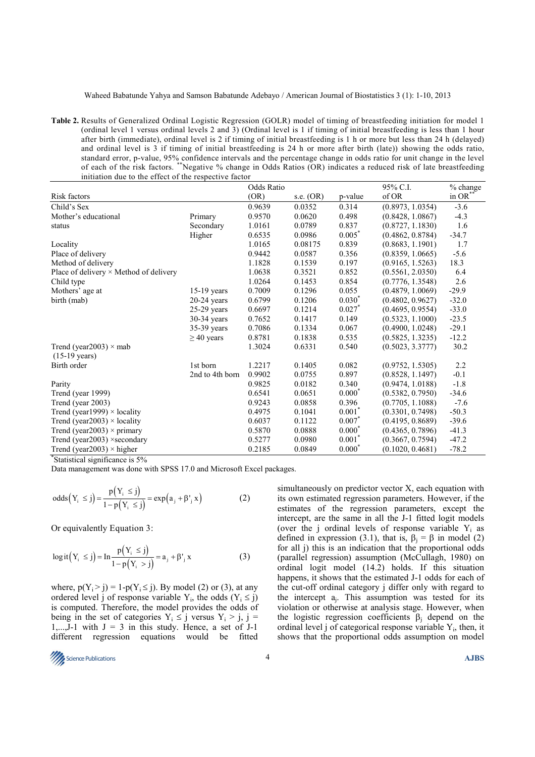Waheed Babatunde Yahya and Samson Babatunde Adebayo / American Journal of Biostatistics 3 (1): 1-10, 2013

**Table 2.** Results of Generalized Ordinal Logistic Regression (GOLR) model of timing of breastfeeding initiation for model 1 (ordinal level 1 versus ordinal levels 2 and 3) (Ordinal level is 1 if timing of initial breastfeeding is less than 1 hour after birth (immediate), ordinal level is 2 if timing of initial breastfeeding is 1 h or more but less than 24 h (delayed) and ordinal level is 3 if timing of initial breastfeeding is 24 h or more after birth (late)) showing the odds ratio, standard error, p-value, 95% confidence intervals and the percentage change in odds ratio for unit change in the level of each of the risk factors. \*\*Negative % change in Odds Ratios (OR) indicates a reduced risk of late breastfeeding initiation due to the effect of the respective factor

|                                               |                 | Odds Ratio |             |           | 95% C.I.         | % change |
|-----------------------------------------------|-----------------|------------|-------------|-----------|------------------|----------|
| Risk factors                                  |                 | (OR)       | s.e. $(OR)$ | p-value   | of OR            | in OR**  |
| Child's Sex                                   |                 | 0.9639     | 0.0352      | 0.314     | (0.8973, 1.0354) | $-3.6$   |
| Mother's educational                          | Primary         | 0.9570     | 0.0620      | 0.498     | (0.8428, 1.0867) | $-4.3$   |
| status                                        | Secondary       | 1.0161     | 0.0789      | 0.837     | (0.8727, 1.1830) | 1.6      |
|                                               | Higher          | 0.6535     | 0.0986      | $0.005*$  | (0.4862, 0.8784) | $-34.7$  |
| Locality                                      |                 | 1.0165     | 0.08175     | 0.839     | (0.8683, 1.1901) | 1.7      |
| Place of delivery                             |                 | 0.9442     | 0.0587      | 0.356     | (0.8359, 1.0665) | $-5.6$   |
| Method of delivery                            |                 | 1.1828     | 0.1539      | 0.197     | (0.9165, 1.5263) | 18.3     |
| Place of delivery $\times$ Method of delivery |                 | 1.0638     | 0.3521      | 0.852     | (0.5561, 2.0350) | 6.4      |
| Child type                                    |                 | 1.0264     | 0.1453      | 0.854     | (0.7776, 1.3548) | 2.6      |
| Mothers' age at                               | $15-19$ years   | 0.7009     | 0.1296      | 0.055     | (0.4879, 1.0069) | $-29.9$  |
| birth (mab)                                   | $20-24$ years   | 0.6799     | 0.1206      | $0.030*$  | (0.4802, 0.9627) | $-32.0$  |
|                                               | $25-29$ years   | 0.6697     | 0.1214      | $0.027$ * | (0.4695, 0.9554) | $-33.0$  |
|                                               | 30-34 years     | 0.7652     | 0.1417      | 0.149     | (0.5323, 1.1000) | $-23.5$  |
|                                               | $35-39$ years   | 0.7086     | 0.1334      | 0.067     | (0.4900, 1.0248) | $-29.1$  |
|                                               | $\geq$ 40 years | 0.8781     | 0.1838      | 0.535     | (0.5825, 1.3235) | $-12.2$  |
| Trend (year2003) $\times$ mab                 |                 | 1.3024     | 0.6331      | 0.540     | (0.5023, 3.3777) | 30.2     |
| $(15-19 \text{ years})$                       |                 |            |             |           |                  |          |
| Birth order                                   | 1st born        | 1.2217     | 0.1405      | 0.082     | (0.9752, 1.5305) | 2.2      |
|                                               | 2nd to 4th born | 0.9902     | 0.0755      | 0.897     | (0.8528, 1.1497) | $-0.1$   |
| Parity                                        |                 | 0.9825     | 0.0182      | 0.340     | (0.9474, 1.0188) | $-1.8$   |
| Trend (year 1999)                             |                 | 0.6541     | 0.0651      | $0.000*$  | (0.5382, 0.7950) | $-34.6$  |
| Trend (year 2003)                             |                 | 0.9243     | 0.0858      | 0.396     | (0.7705, 1.1088) | $-7.6$   |
| Trend (year1999) $\times$ locality            |                 | 0.4975     | 0.1041      | $0.001*$  | (0.3301, 0.7498) | $-50.3$  |
| Trend (year2003) $\times$ locality            |                 | 0.6037     | 0.1122      | $0.007*$  | (0.4195, 0.8689) | $-39.6$  |
| Trend (year $2003$ ) × primary                |                 | 0.5870     | 0.0888      | $0.000*$  | (0.4365, 0.7896) | $-41.3$  |
| Trend (year2003) $\times$ secondary           |                 | 0.5277     | 0.0980      | $0.001^*$ | (0.3667, 0.7594) | $-47.2$  |
| Trend (year2003) $\times$ higher              |                 | 0.2185     | 0.0849      | $0.000*$  | (0.1020, 0.4681) | $-78.2$  |

\* Statistical significance is 5%

Data management was done with SPSS 17.0 and Microsoft Excel packages.

odds 
$$
(Y_i \le j) = {p(Y_i \le j) \over 1 - p(Y_i \le j)} = exp(a_j + \beta'_{j} x)
$$
 (2)

Or equivalently Equation 3:

$$
logit(Y_i \le j) = In \frac{p(Y_i \le j)}{1 - p(Y_i > j)} = a_j + \beta'_{j} x
$$
 (3)

where,  $p(Y_i > i) = 1-p(Y_i \le i)$ . By model (2) or (3), at any ordered level j of response variable  $Y_i$ , the odds  $(Y_i \le j)$ is computed. Therefore, the model provides the odds of being in the set of categories  $Y_i \le j$  versus  $Y_i > j$ ,  $j =$ 1,..., $\bar{J}$ -1 with  $J = 3$  in this study. Hence, a set of  $J$ -1 different regression equations would be fitted

simultaneously on predictor vector X, each equation with its own estimated regression parameters. However, if the estimates of the regression parameters, except the intercept, are the same in all the J-1 fitted logit models (over the j ordinal levels of response variable  $Y_i$  as defined in expression (3.1), that is,  $\beta_j = \beta$  in model (2) for all j) this is an indication that the proportional odds (parallel regression) assumption (McCullagh, 1980) on ordinal logit model (14.2) holds. If this situation happens, it shows that the estimated J-1 odds for each of the cut-off ordinal category j differ only with regard to the intercept  $a_j$ . This assumption was tested for its violation or otherwise at analysis stage. However, when the logistic regression coefficients  $\beta_j$  depend on the ordinal level  $j$  of categorical response variable  $Y_i$ , then, it shows that the proportional odds assumption on model

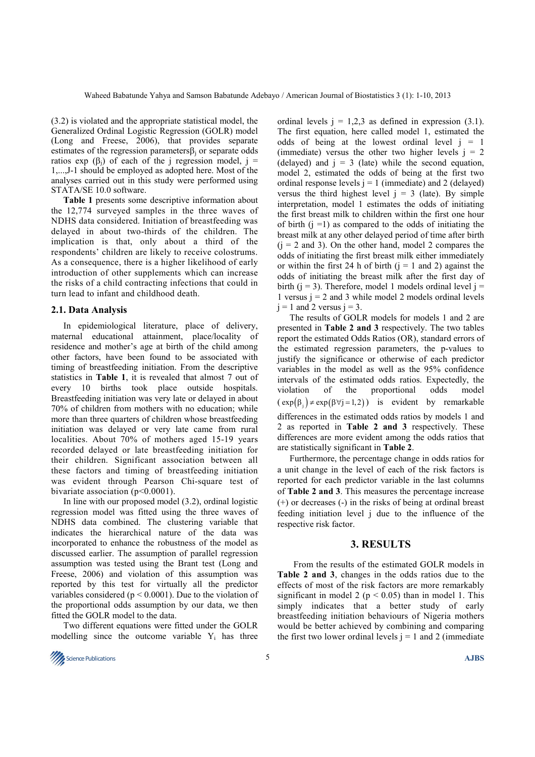(3.2) is violated and the appropriate statistical model, the Generalized Ordinal Logistic Regression (GOLR) model (Long and Freese, 2006), that provides separate estimates of the regression parameters $\beta_j$  or separate odds ratios exp (β<sub>i</sub>) of each of the j regression model, j = 1,...,J-1 should be employed as adopted here. Most of the analyses carried out in this study were performed using STATA/SE 10.0 software.

**Table 1** presents some descriptive information about the 12,774 surveyed samples in the three waves of NDHS data considered. Initiation of breastfeeding was delayed in about two-thirds of the children. The implication is that, only about a third of the respondents' children are likely to receive colostrums. As a consequence, there is a higher likelihood of early introduction of other supplements which can increase the risks of a child contracting infections that could in turn lead to infant and childhood death.

#### **2.1. Data Analysis**

In epidemiological literature, place of delivery, maternal educational attainment, place/locality of residence and mother's age at birth of the child among other factors, have been found to be associated with timing of breastfeeding initiation. From the descriptive statistics in **Table 1**, it is revealed that almost 7 out of every 10 births took place outside hospitals. Breastfeeding initiation was very late or delayed in about 70% of children from mothers with no education; while more than three quarters of children whose breastfeeding initiation was delayed or very late came from rural localities. About 70% of mothers aged 15-19 years recorded delayed or late breastfeeding initiation for their children. Significant association between all these factors and timing of breastfeeding initiation was evident through Pearson Chi-square test of bivariate association (p<0.0001).

In line with our proposed model (3.2), ordinal logistic regression model was fitted using the three waves of NDHS data combined. The clustering variable that indicates the hierarchical nature of the data was incorporated to enhance the robustness of the model as discussed earlier. The assumption of parallel regression assumption was tested using the Brant test (Long and Freese, 2006) and violation of this assumption was reported by this test for virtually all the predictor variables considered ( $p < 0.0001$ ). Due to the violation of the proportional odds assumption by our data, we then fitted the GOLR model to the data.

Two different equations were fitted under the GOLR modelling since the outcome variable  $Y_i$  has three



ordinal levels  $j = 1,2,3$  as defined in expression (3.1). The first equation, here called model 1, estimated the odds of being at the lowest ordinal level  $j = 1$ (immediate) versus the other two higher levels  $j = 2$ (delayed) and  $i = 3$  (late) while the second equation, model 2, estimated the odds of being at the first two ordinal response levels  $j = 1$  (immediate) and 2 (delayed) versus the third highest level  $j = 3$  (late). By simple interpretation, model 1 estimates the odds of initiating the first breast milk to children within the first one hour of birth  $(i = 1)$  as compared to the odds of initiating the breast milk at any other delayed period of time after birth  $(i = 2$  and 3). On the other hand, model 2 compares the odds of initiating the first breast milk either immediately or within the first 24 h of birth  $(i = 1$  and 2) against the odds of initiating the breast milk after the first day of birth ( $j = 3$ ). Therefore, model 1 models ordinal level  $j =$ 1 versus  $j = 2$  and 3 while model 2 models ordinal levels  $j = 1$  and 2 versus  $j = 3$ .

The results of GOLR models for models 1 and 2 are presented in **Table 2 and 3** respectively. The two tables report the estimated Odds Ratios (OR), standard errors of the estimated regression parameters, the p-values to justify the significance or otherwise of each predictor variables in the model as well as the 95% confidence intervals of the estimated odds ratios. Expectedly, the violation of the proportional odds model  $(\exp(\beta_i) \neq \exp(\beta \forall j = 1,2))$  is evident by remarkable differences in the estimated odds ratios by models 1 and 2 as reported in **Table 2 and 3** respectively. These differences are more evident among the odds ratios that are statistically significant in **Table 2**.

Furthermore, the percentage change in odds ratios for a unit change in the level of each of the risk factors is reported for each predictor variable in the last columns of **Table 2 and 3**. This measures the percentage increase (+) or decreases (-) in the risks of being at ordinal breast feeding initiation level j due to the influence of the respective risk factor.

### **3. RESULTS**

 From the results of the estimated GOLR models in **Table 2 and 3**, changes in the odds ratios due to the effects of most of the risk factors are more remarkably significant in model 2 ( $p < 0.05$ ) than in model 1. This simply indicates that a better study of early breastfeeding initiation behaviours of Nigeria mothers would be better achieved by combining and comparing the first two lower ordinal levels  $j = 1$  and 2 (immediate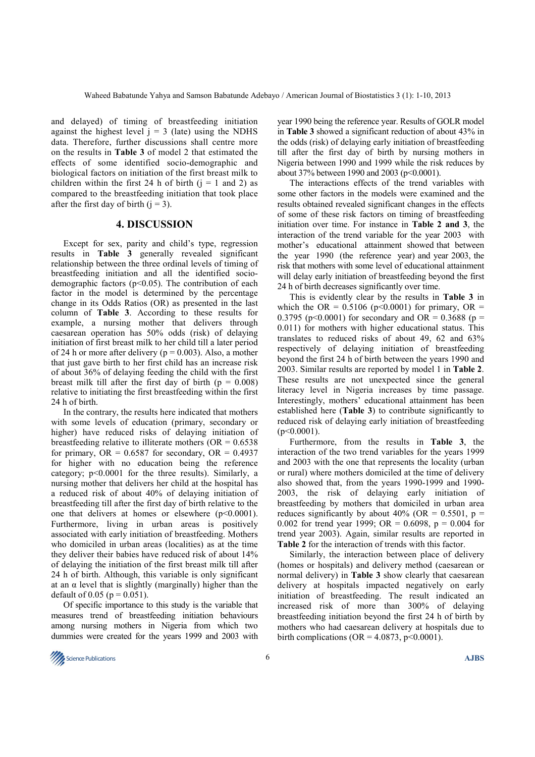and delayed) of timing of breastfeeding initiation against the highest level  $j = 3$  (late) using the NDHS data. Therefore, further discussions shall centre more on the results in **Table 3** of model 2 that estimated the effects of some identified socio-demographic and biological factors on initiation of the first breast milk to children within the first 24 h of birth  $(i = 1$  and 2) as compared to the breastfeeding initiation that took place after the first day of birth  $(i = 3)$ .

## **4. DISCUSSION**

Except for sex, parity and child's type, regression results in **Table 3** generally revealed significant relationship between the three ordinal levels of timing of breastfeeding initiation and all the identified sociodemographic factors ( $p$ <0.05). The contribution of each factor in the model is determined by the percentage change in its Odds Ratios (OR) as presented in the last column of **Table 3**. According to these results for example, a nursing mother that delivers through caesarean operation has 50% odds (risk) of delaying initiation of first breast milk to her child till a later period of 24 h or more after delivery ( $p = 0.003$ ). Also, a mother that just gave birth to her first child has an increase risk of about 36% of delaying feeding the child with the first breast milk till after the first day of birth  $(p = 0.008)$ relative to initiating the first breastfeeding within the first 24 h of birth.

In the contrary, the results here indicated that mothers with some levels of education (primary, secondary or higher) have reduced risks of delaying initiation of breastfeeding relative to illiterate mothers ( $OR = 0.6538$ ) for primary,  $OR = 0.6587$  for secondary,  $OR = 0.4937$ for higher with no education being the reference category; p<0.0001 for the three results). Similarly, a nursing mother that delivers her child at the hospital has a reduced risk of about 40% of delaying initiation of breastfeeding till after the first day of birth relative to the one that delivers at homes or elsewhere  $(p<0.0001)$ . Furthermore, living in urban areas is positively associated with early initiation of breastfeeding. Mothers who domiciled in urban areas (localities) as at the time they deliver their babies have reduced risk of about 14% of delaying the initiation of the first breast milk till after 24 h of birth. Although, this variable is only significant at an  $\alpha$  level that is slightly (marginally) higher than the default of 0.05 ( $p = 0.051$ ).

Of specific importance to this study is the variable that measures trend of breastfeeding initiation behaviours among nursing mothers in Nigeria from which two dummies were created for the years 1999 and 2003 with

year 1990 being the reference year. Results of GOLR model in **Table 3** showed a significant reduction of about 43% in the odds (risk) of delaying early initiation of breastfeeding till after the first day of birth by nursing mothers in Nigeria between 1990 and 1999 while the risk reduces by about 37% between 1990 and 2003 (p<0.0001).

The interactions effects of the trend variables with some other factors in the models were examined and the results obtained revealed significant changes in the effects of some of these risk factors on timing of breastfeeding initiation over time. For instance in **Table 2 and 3**, the interaction of the trend variable for the year 2003 with mother's educational attainment showed that between the year 1990 (the reference year) and year 2003, the risk that mothers with some level of educational attainment will delay early initiation of breastfeeding beyond the first 24 h of birth decreases significantly over time.

This is evidently clear by the results in **Table 3** in which the OR =  $0.5106$  (p<0.0001) for primary, OR = 0.3795 ( $p \le 0.0001$ ) for secondary and OR = 0.3688 ( $p =$ 0.011) for mothers with higher educational status. This translates to reduced risks of about 49, 62 and 63% respectively of delaying initiation of breastfeeding beyond the first 24 h of birth between the years 1990 and 2003. Similar results are reported by model 1 in **Table 2**. These results are not unexpected since the general literacy level in Nigeria increases by time passage. Interestingly, mothers' educational attainment has been established here (**Table 3**) to contribute significantly to reduced risk of delaying early initiation of breastfeeding  $(p<0.0001)$ .

Furthermore, from the results in **Table 3**, the interaction of the two trend variables for the years 1999 and 2003 with the one that represents the locality (urban or rural) where mothers domiciled at the time of delivery also showed that, from the years 1990-1999 and 1990- 2003, the risk of delaying early initiation of breastfeeding by mothers that domiciled in urban area reduces significantly by about 40% (OR =  $0.5501$ , p = 0.002 for trend year 1999; OR = 0.6098,  $p = 0.004$  for trend year 2003). Again, similar results are reported in **Table 2** for the interaction of trends with this factor.

Similarly, the interaction between place of delivery (homes or hospitals) and delivery method (caesarean or normal delivery) in **Table 3** show clearly that caesarean delivery at hospitals impacted negatively on early initiation of breastfeeding. The result indicated an increased risk of more than 300% of delaying breastfeeding initiation beyond the first 24 h of birth by mothers who had caesarean delivery at hospitals due to birth complications ( $OR = 4.0873$ ,  $p < 0.0001$ ).

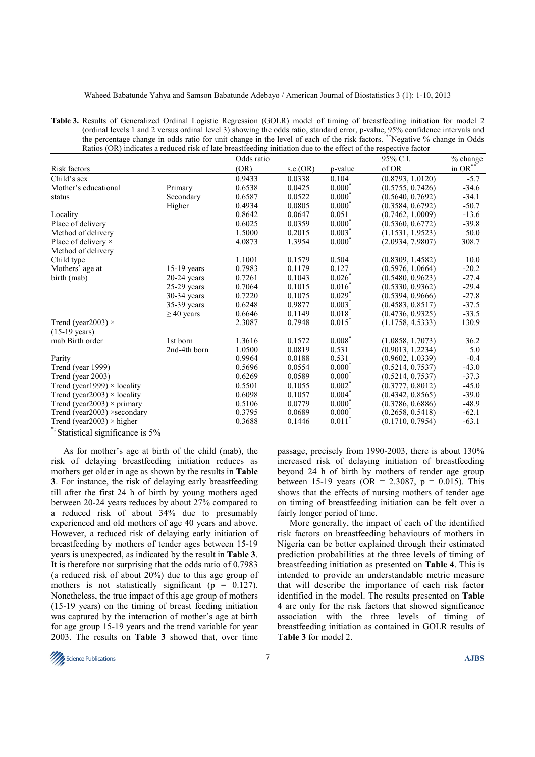Waheed Babatunde Yahya and Samson Babatunde Adebayo / American Journal of Biostatistics 3 (1): 1-10, 2013

**Table 3.** Results of Generalized Ordinal Logistic Regression (GOLR) model of timing of breastfeeding initiation for model 2 (ordinal levels 1 and 2 versus ordinal level 3) showing the odds ratio, standard error, p-value, 95% confidence intervals and the percentage change in odds ratio for unit change in the level of each of the risk factors. \*\*Negative % change in Odds Ratios (OR) indicates a reduced risk of late breastfeeding initiation due to the effect of the respective factor

|                                     |                 | Odds ratio |          |                      | 95% C.I.         | % change  |
|-------------------------------------|-----------------|------------|----------|----------------------|------------------|-----------|
| Risk factors                        |                 | (OR)       | s.e.(OR) | p-value              | of OR            | in $OR^*$ |
| Child's sex                         |                 | 0.9433     | 0.0338   | 0.104                | (0.8793, 1.0120) | $-5.7$    |
| Mother's educational                | Primary         | 0.6538     | 0.0425   | $0.000*$             | (0.5755, 0.7426) | $-34.6$   |
| status                              | Secondary       | 0.6587     | 0.0522   | $0.000*$             | (0.5640, 0.7692) | $-34.1$   |
|                                     | Higher          | 0.4934     | 0.0805   | $0.000*$             | (0.3584, 0.6792) | $-50.7$   |
| Locality                            |                 | 0.8642     | 0.0647   | 0.051                | (0.7462, 1.0009) | $-13.6$   |
| Place of delivery                   |                 | 0.6025     | 0.0359   | $0.000*$             | (0.5360, 0.6772) | $-39.8$   |
| Method of delivery                  |                 | 1.5000     | 0.2015   | $0.003*$             | (1.1531, 1.9523) | 50.0      |
| Place of delivery ×                 |                 | 4.0873     | 1.3954   | $0.000*$             | (2.0934, 7.9807) | 308.7     |
| Method of delivery                  |                 |            |          |                      |                  |           |
| Child type                          |                 | 1.1001     | 0.1579   | 0.504                | (0.8309, 1.4582) | 10.0      |
| Mothers' age at                     | $15-19$ years   | 0.7983     | 0.1179   | 0.127                | (0.5976, 1.0664) | $-20.2$   |
| birth (mab)                         | $20-24$ years   | 0.7261     | 0.1043   | $0.026*$             | (0.5480, 0.9623) | $-27.4$   |
|                                     | $25-29$ years   | 0.7064     | 0.1015   | $0.016*$             | (0.5330, 0.9362) | $-29.4$   |
|                                     | 30-34 years     | 0.7220     | 0.1075   | $0.029*$             | (0.5394, 0.9666) | $-27.8$   |
|                                     | 35-39 years     | 0.6248     | 0.9877   | $0.003*$             | (0.4583, 0.8517) | $-37.5$   |
|                                     | $\geq$ 40 years | 0.6646     | 0.1149   | $0.018*$             | (0.4736, 0.9325) | $-33.5$   |
| Trend (year 2003) $\times$          |                 | 2.3087     | 0.7948   | $0.015*$             | (1.1758, 4.5333) | 130.9     |
| $(15-19 \text{ years})$             |                 |            |          |                      |                  |           |
| mab Birth order                     | 1st born        | 1.3616     | 0.1572   | $0.008*$             | (1.0858, 1.7073) | 36.2      |
|                                     | 2nd-4th born    | 1.0500     | 0.0819   | 0.531                | (0.9013, 1.2234) | 5.0       |
| Parity                              |                 | 0.9964     | 0.0188   | 0.531                | (0.9602, 1.0339) | $-0.4$    |
| Trend (year 1999)                   |                 | 0.5696     | 0.0554   | $0.000*$             | (0.5214, 0.7537) | $-43.0$   |
| Trend (year 2003)                   |                 | 0.6269     | 0.0589   | $0.000*$             | (0.5214, 0.7537) | $-37.3$   |
| Trend (year1999) $\times$ locality  |                 | 0.5501     | 0.1055   | $0.002*$             | (0.3777, 0.8012) | $-45.0$   |
| Trend (year2003) $\times$ locality  |                 | 0.6098     | 0.1057   | $0.004*$             | (0.4342, 0.8565) | $-39.0$   |
| Trend (year2003) $\times$ primary   |                 | 0.5106     | 0.0779   | $0.000*$             | (0.3786, 0.6886) | $-48.9$   |
| Trend (year2003) $\times$ secondary |                 | 0.3795     | 0.0689   | $0.000*$             | (0.2658, 0.5418) | $-62.1$   |
| Trend (year2003) $\times$ higher    |                 | 0.3688     | 0.1446   | $0.011$ <sup>*</sup> | (0.1710, 0.7954) | $-63.1$   |

\*; Statistical significance is 5%

As for mother's age at birth of the child (mab), the risk of delaying breastfeeding initiation reduces as mothers get older in age as shown by the results in **Table 3**. For instance, the risk of delaying early breastfeeding till after the first 24 h of birth by young mothers aged between 20-24 years reduces by about 27% compared to a reduced risk of about 34% due to presumably experienced and old mothers of age 40 years and above. However, a reduced risk of delaying early initiation of breastfeeding by mothers of tender ages between 15-19 years is unexpected, as indicated by the result in **Table 3**. It is therefore not surprising that the odds ratio of 0.7983 (a reduced risk of about 20%) due to this age group of mothers is not statistically significant ( $p = 0.127$ ). Nonetheless, the true impact of this age group of mothers (15-19 years) on the timing of breast feeding initiation was captured by the interaction of mother's age at birth for age group 15-19 years and the trend variable for year 2003. The results on **Table 3** showed that, over time

passage, precisely from 1990-2003, there is about 130% increased risk of delaying initiation of breastfeeding beyond 24 h of birth by mothers of tender age group between 15-19 years (OR = 2.3087,  $p = 0.015$ ). This shows that the effects of nursing mothers of tender age on timing of breastfeeding initiation can be felt over a fairly longer period of time.

More generally, the impact of each of the identified risk factors on breastfeeding behaviours of mothers in Nigeria can be better explained through their estimated prediction probabilities at the three levels of timing of breastfeeding initiation as presented on **Table 4**. This is intended to provide an understandable metric measure that will describe the importance of each risk factor identified in the model. The results presented on **Table 4** are only for the risk factors that showed significance association with the three levels of timing of breastfeeding initiation as contained in GOLR results of **Table 3** for model 2.

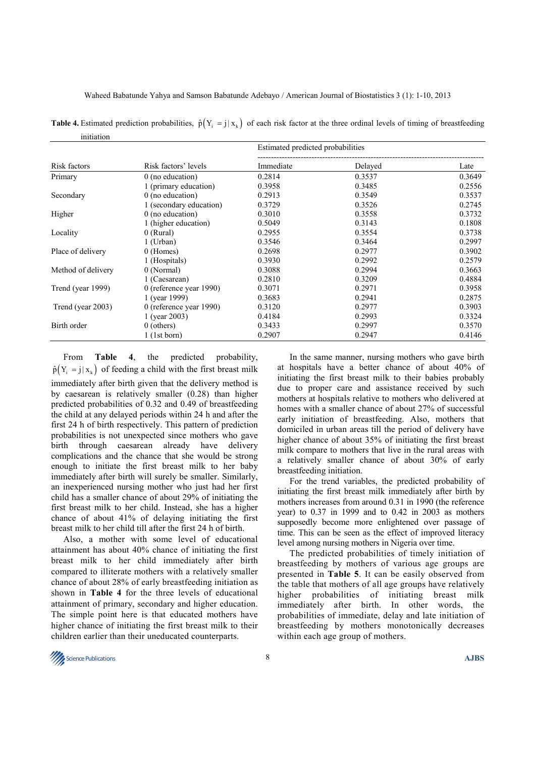**Table 4.** Estimated prediction probabilities,  $\hat{p}(Y_i = j | x_k)$  of each risk factor at the three ordinal levels of timing of breastfeeding initiation

|                    |                         | Estimated predicted probabilities |         |                |  |  |  |
|--------------------|-------------------------|-----------------------------------|---------|----------------|--|--|--|
| Risk factors       | Risk factors' levels    | Immediate                         | Delayed | Late<br>0.3649 |  |  |  |
| Primary            | $0$ (no education)      | 0.2814                            | 0.3537  |                |  |  |  |
|                    | 1 (primary education)   | 0.3958                            | 0.3485  | 0.2556         |  |  |  |
| Secondary          | $0$ (no education)      | 0.2913                            | 0.3549  | 0.3537         |  |  |  |
|                    | 1 (secondary education) | 0.3729                            | 0.3526  | 0.2745         |  |  |  |
| Higher             | $0$ (no education)      | 0.3010                            | 0.3558  | 0.3732         |  |  |  |
|                    | 1 (higher education)    | 0.5049                            | 0.3143  | 0.1808         |  |  |  |
| Locality           | $0$ (Rural)             | 0.2955                            | 0.3554  | 0.3738         |  |  |  |
|                    | 1 (Urban)               | 0.3546                            | 0.3464  | 0.2997         |  |  |  |
| Place of delivery  | 0 (Homes)               | 0.2698                            | 0.2977  | 0.3902         |  |  |  |
|                    | 1 (Hospitals)           | 0.3930                            | 0.2992  | 0.2579         |  |  |  |
| Method of delivery | 0 (Normal)              | 0.3088                            | 0.2994  | 0.3663         |  |  |  |
|                    | 1 (Caesarean)           | 0.2810                            | 0.3209  | 0.4884         |  |  |  |
| Trend (year 1999)  | 0 (reference year 1990) | 0.3071                            | 0.2971  | 0.3958         |  |  |  |
|                    | 1 (year 1999)           | 0.3683                            | 0.2941  | 0.2875         |  |  |  |
| Trend (year 2003)  | 0 (reference year 1990) | 0.3120                            | 0.2977  | 0.3903         |  |  |  |
|                    | 1 (year 2003)           | 0.4184                            | 0.2993  | 0.3324         |  |  |  |
| Birth order        | $0$ (others)            | 0.3433                            | 0.2997  | 0.3570         |  |  |  |
|                    | 1 (1st born)            | 0.2907                            | 0.2947  | 0.4146         |  |  |  |

From **Table 4**, the predicted probability,  $\hat{p}(Y_i = j | x_i)$  of feeding a child with the first breast milk immediately after birth given that the delivery method is by caesarean is relatively smaller (0.28) than higher predicted probabilities of 0.32 and 0.49 of breastfeeding the child at any delayed periods within 24 h and after the first 24 h of birth respectively. This pattern of prediction probabilities is not unexpected since mothers who gave birth through caesarean already have delivery complications and the chance that she would be strong enough to initiate the first breast milk to her baby immediately after birth will surely be smaller. Similarly, an inexperienced nursing mother who just had her first child has a smaller chance of about 29% of initiating the first breast milk to her child. Instead, she has a higher chance of about 41% of delaying initiating the first breast milk to her child till after the first 24 h of birth.

Also, a mother with some level of educational attainment has about 40% chance of initiating the first breast milk to her child immediately after birth compared to illiterate mothers with a relatively smaller chance of about 28% of early breastfeeding initiation as shown in **Table 4** for the three levels of educational attainment of primary, secondary and higher education. The simple point here is that educated mothers have higher chance of initiating the first breast milk to their children earlier than their uneducated counterparts.

In the same manner, nursing mothers who gave birth at hospitals have a better chance of about 40% of initiating the first breast milk to their babies probably due to proper care and assistance received by such mothers at hospitals relative to mothers who delivered at homes with a smaller chance of about 27% of successful early initiation of breastfeeding. Also, mothers that domiciled in urban areas till the period of delivery have higher chance of about 35% of initiating the first breast milk compare to mothers that live in the rural areas with a relatively smaller chance of about 30% of early breastfeeding initiation.

For the trend variables, the predicted probability of initiating the first breast milk immediately after birth by mothers increases from around 0.31 in 1990 (the reference year) to 0.37 in 1999 and to 0.42 in 2003 as mothers supposedly become more enlightened over passage of time. This can be seen as the effect of improved literacy level among nursing mothers in Nigeria over time.

The predicted probabilities of timely initiation of breastfeeding by mothers of various age groups are presented in **Table 5**. It can be easily observed from the table that mothers of all age groups have relatively higher probabilities of initiating breast milk immediately after birth. In other words, the probabilities of immediate, delay and late initiation of breastfeeding by mothers monotonically decreases within each age group of mothers.

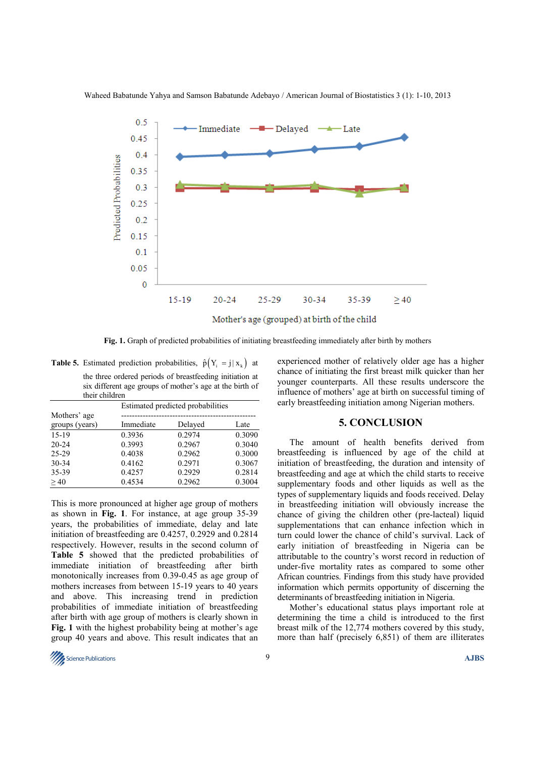

Waheed Babatunde Yahya and Samson Babatunde Adebayo / American Journal of Biostatistics 3 (1): 1-10, 2013

**Fig. 1.** Graph of predicted probabilities of initiating breastfeeding immediately after birth by mothers

**Table 5.** Estimated prediction probabilities,  $\hat{p}(Y_i = j | x_k)$  at the three ordered periods of breastfeeding initiation at six different age groups of mother's age at the birth of their children

|                                | Estimated predicted probabilities |         |        |  |  |  |  |
|--------------------------------|-----------------------------------|---------|--------|--|--|--|--|
| Mothers' age<br>groups (years) | Immediate                         | Delayed | Late   |  |  |  |  |
| $15-19$                        | 0.3936                            | 0.2974  | 0.3090 |  |  |  |  |
| $20 - 24$                      | 0.3993                            | 0.2967  | 0.3040 |  |  |  |  |
| 25-29                          | 0.4038                            | 0.2962  | 0.3000 |  |  |  |  |
| $30 - 34$                      | 0.4162                            | 0.2971  | 0.3067 |  |  |  |  |
| 35-39                          | 0.4257                            | 0.2929  | 0.2814 |  |  |  |  |
| >40                            | 0.4534                            | 0.2962  | 0.3004 |  |  |  |  |

This is more pronounced at higher age group of mothers as shown in **Fig. 1**. For instance, at age group 35-39 years, the probabilities of immediate, delay and late initiation of breastfeeding are 0.4257, 0.2929 and 0.2814 respectively. However, results in the second column of **Table 5** showed that the predicted probabilities of immediate initiation of breastfeeding after birth monotonically increases from 0.39-0.45 as age group of mothers increases from between 15-19 years to 40 years and above. This increasing trend in prediction probabilities of immediate initiation of breastfeeding after birth with age group of mothers is clearly shown in **Fig. 1** with the highest probability being at mother's age group 40 years and above. This result indicates that an

experienced mother of relatively older age has a higher chance of initiating the first breast milk quicker than her younger counterparts. All these results underscore the influence of mothers' age at birth on successful timing of early breastfeeding initiation among Nigerian mothers.

## **5. CONCLUSION**

The amount of health benefits derived from breastfeeding is influenced by age of the child at initiation of breastfeeding, the duration and intensity of breastfeeding and age at which the child starts to receive supplementary foods and other liquids as well as the types of supplementary liquids and foods received. Delay in breastfeeding initiation will obviously increase the chance of giving the children other (pre-lacteal) liquid supplementations that can enhance infection which in turn could lower the chance of child's survival. Lack of early initiation of breastfeeding in Nigeria can be attributable to the country's worst record in reduction of under-five mortality rates as compared to some other African countries. Findings from this study have provided information which permits opportunity of discerning the determinants of breastfeeding initiation in Nigeria.

Mother's educational status plays important role at determining the time a child is introduced to the first breast milk of the 12,774 mothers covered by this study, more than half (precisely 6,851) of them are illiterates